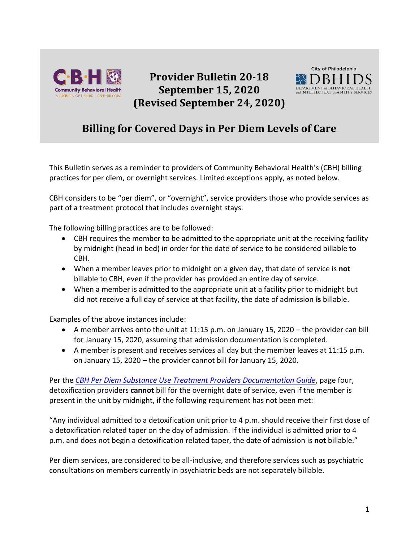

**Provider Bulletin 20-18 September 15, 2020 (Revised September 24, 2020)**



## **Billing for Covered Days in Per Diem Levels of Care**

This Bulletin serves as a reminder to providers of Community Behavioral Health's (CBH) billing practices for per diem, or overnight services. Limited exceptions apply, as noted below.

CBH considers to be "per diem", or "overnight", service providers those who provide services as part of a treatment protocol that includes overnight stays.

The following billing practices are to be followed:

- CBH requires the member to be admitted to the appropriate unit at the receiving facility by midnight (head in bed) in order for the date of service to be considered billable to CBH.
- When a member leaves prior to midnight on a given day, that date of service is **not**  billable to CBH, even if the provider has provided an entire day of service.
- When a member is admitted to the appropriate unit at a facility prior to midnight but did not receive a full day of service at that facility, the date of admission **is** billable.

Examples of the above instances include:

- A member arrives onto the unit at 11:15 p.m. on January 15, 2020 the provider can bill for January 15, 2020, assuming that admission documentation is completed.
- A member is present and receives services all day but the member leaves at 11:15 p.m. on January 15, 2020 – the provider cannot bill for January 15, 2020.

Per the *[CBH Per Diem Substance Use Treatment Providers Documentation Guide](https://dbhids.org/wp-content/uploads/2018/07/Per-Diem-DA-Documentation-Requirements.pdf)*, page four, detoxification providers **cannot** bill for the overnight date of service, even if the member is present in the unit by midnight, if the following requirement has not been met:

"Any individual admitted to a detoxification unit prior to 4 p.m. should receive their first dose of a detoxification related taper on the day of admission. If the individual is admitted prior to 4 p.m. and does not begin a detoxification related taper, the date of admission is **not** billable."

Per diem services, are considered to be all-inclusive, and therefore services such as psychiatric consultations on members currently in psychiatric beds are not separately billable.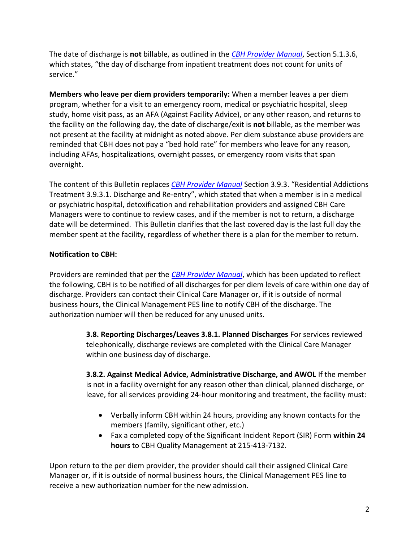The date of discharge is **not** billable, as outlined in the *[CBH Provider Manual](https://cbhphilly.org/cbh-providers/oversight-and-monitoring/cbh-provider-manual/)*, Section 5.1.3.6, which states, "the day of discharge from inpatient treatment does not count for units of service."

**Members who leave per diem providers temporarily:** When a member leaves a per diem program, whether for a visit to an emergency room, medical or psychiatric hospital, sleep study, home visit pass, as an AFA (Against Facility Advice), or any other reason, and returns to the facility on the following day, the date of discharge/exit is **not** billable, as the member was not present at the facility at midnight as noted above. Per diem substance abuse providers are reminded that CBH does not pay a "bed hold rate" for members who leave for any reason, including AFAs, hospitalizations, overnight passes, or emergency room visits that span overnight.

The content of this Bulletin replaces *[CBH Provider Manual](https://cbhphilly.org/cbh-providers/oversight-and-monitoring/cbh-provider-manual/)* Section 3.9.3. "Residential Addictions Treatment 3.9.3.1. Discharge and Re-entry", which stated that when a member is in a medical or psychiatric hospital, detoxification and rehabilitation providers and assigned CBH Care Managers were to continue to review cases, and if the member is not to return, a discharge date will be determined. This Bulletin clarifies that the last covered day is the last full day the member spent at the facility, regardless of whether there is a plan for the member to return.

## **Notification to CBH:**

Providers are reminded that per the *[CBH Provider Manual](https://cbhphilly.org/cbh-providers/oversight-and-monitoring/cbh-provider-manual/)*, which has been updated to reflect the following, CBH is to be notified of all discharges for per diem levels of care within one day of discharge. Providers can contact their Clinical Care Manager or, if it is outside of normal business hours, the Clinical Management PES line to notify CBH of the discharge. The authorization number will then be reduced for any unused units.

> **3.8. Reporting Discharges/Leaves 3.8.1. Planned Discharges** For services reviewed telephonically, discharge reviews are completed with the Clinical Care Manager within one business day of discharge.

**3.8.2. Against Medical Advice, Administrative Discharge, and AWOL** If the member is not in a facility overnight for any reason other than clinical, planned discharge, or leave, for all services providing 24-hour monitoring and treatment, the facility must:

- Verbally inform CBH within 24 hours, providing any known contacts for the members (family, significant other, etc.)
- Fax a completed copy of the Significant Incident Report (SIR) Form **within 24 hours** to CBH Quality Management at 215-413-7132.

Upon return to the per diem provider, the provider should call their assigned Clinical Care Manager or, if it is outside of normal business hours, the Clinical Management PES line to receive a new authorization number for the new admission.